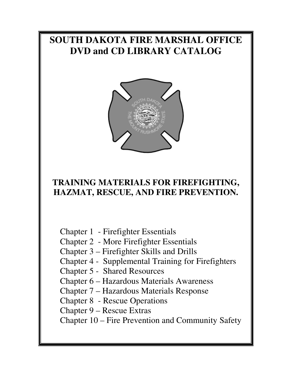# **SOUTH DAKOTA FIRE MARSHAL OFFICE DVD and CD LIBRARY CATALOG**



# **TRAINING MATERIALS FOR FIREFIGHTING, HAZMAT, RESCUE, AND FIRE PREVENTION.**

Chapter 1 - Firefighter Essentials

Chapter 2 - More Firefighter Essentials

Chapter 3 – Firefighter Skills and Drills

Chapter 4 - Supplemental Training for Firefighters

Chapter 5 - Shared Resources

Chapter 6 – Hazardous Materials Awareness

Chapter 7 – Hazardous Materials Response

Chapter 8 - Rescue Operations

Chapter 9 – Rescue Extras

Chapter 10 – Fire Prevention and Community Safety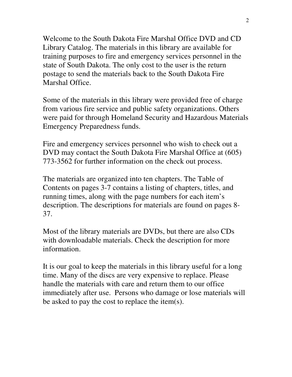Welcome to the South Dakota Fire Marshal Office DVD and CD Library Catalog. The materials in this library are available for training purposes to fire and emergency services personnel in the state of South Dakota. The only cost to the user is the return postage to send the materials back to the South Dakota Fire Marshal Office.

Some of the materials in this library were provided free of charge from various fire service and public safety organizations. Others were paid for through Homeland Security and Hazardous Materials Emergency Preparedness funds.

Fire and emergency services personnel who wish to check out a DVD may contact the South Dakota Fire Marshal Office at (605) 773-3562 for further information on the check out process.

The materials are organized into ten chapters. The Table of Contents on pages 3-7 contains a listing of chapters, titles, and running times, along with the page numbers for each item's description. The descriptions for materials are found on pages 8- 37.

Most of the library materials are DVDs, but there are also CDs with downloadable materials. Check the description for more information.

It is our goal to keep the materials in this library useful for a long time. Many of the discs are very expensive to replace. Please handle the materials with care and return them to our office immediately after use. Persons who damage or lose materials will be asked to pay the cost to replace the item(s).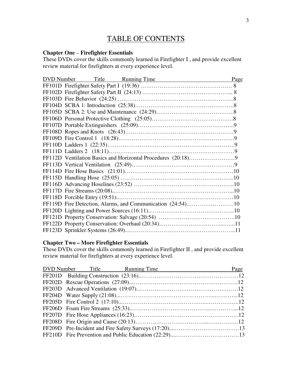## TABLE OF CONTENTS

## **Chapter One** – **Firefighter Essentials**

These DVDs cover the skills commonly learned in Firefighter I , and provide excellent review material for firefighters at every experience level.

| DVD Number Title Running Time Page |  |
|------------------------------------|--|
|                                    |  |
|                                    |  |
|                                    |  |
|                                    |  |
|                                    |  |
|                                    |  |
|                                    |  |
|                                    |  |
|                                    |  |
|                                    |  |
|                                    |  |
|                                    |  |
|                                    |  |
|                                    |  |
|                                    |  |
|                                    |  |
|                                    |  |
|                                    |  |
|                                    |  |
|                                    |  |
|                                    |  |
|                                    |  |
|                                    |  |

## **Chapter Two – More Firefighter Essentials**

These DVDs cover the skills commonly learned in Firefighter II , and provide excellent review material for firefighters at every experience level.

|  | DVD Number Title Running Time Page |  |
|--|------------------------------------|--|
|  |                                    |  |
|  |                                    |  |
|  |                                    |  |
|  |                                    |  |
|  |                                    |  |
|  |                                    |  |
|  |                                    |  |
|  |                                    |  |
|  |                                    |  |
|  |                                    |  |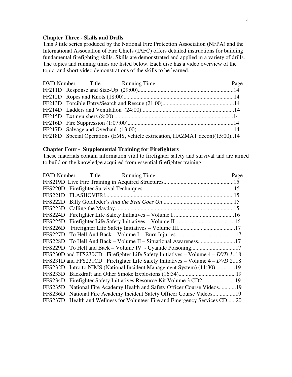#### **Chapter Three - Skills and Drills**

This 9 title series produced by the National Fire Protection Association (NFPA) and the International Association of Fire Chiefs (IAFC) offers detailed instructions for building fundamental firefighting skills. Skills are demonstrated and applied in a variety of drills. The topics and running times are listed below. Each disc has a video overview of the topic, and short video demonstrations of the skills to be learned.

|  | DVD Number Title Running Time | Page                                                                        |
|--|-------------------------------|-----------------------------------------------------------------------------|
|  |                               |                                                                             |
|  |                               |                                                                             |
|  |                               |                                                                             |
|  |                               |                                                                             |
|  |                               |                                                                             |
|  |                               |                                                                             |
|  |                               |                                                                             |
|  |                               | FF218D Special Operations (EMS, vehicle extrication, HAZMAT decon)(15:00)14 |

#### **Chapter Four - Supplemental Training for Firefighters**

These materials contain information vital to firefighter safety and survival and are aimed to build on the knowledge acquired from essential firefighter training.

| <b>DVD</b> Number | Title Running Time                                                               | Page |
|-------------------|----------------------------------------------------------------------------------|------|
|                   |                                                                                  |      |
|                   |                                                                                  |      |
| FFS221D           |                                                                                  |      |
| FFS222D           |                                                                                  |      |
| FFS223D           |                                                                                  |      |
| FFS224D           |                                                                                  |      |
| FFS225D           |                                                                                  |      |
| FFS226D           |                                                                                  |      |
| FFS227D           |                                                                                  |      |
| FFS228D           | To Hell And Back - Volume II - Situational Awareness17                           |      |
|                   |                                                                                  |      |
|                   | FFS230D and FFS230CD Firefighter Life Safety Initiatives – Volume $4 - DVD$ 118  |      |
|                   | FFS231D and FFS231CD Firefighter Life Safety Initiatives – Volume $4 - DVD 2.18$ |      |
|                   | FFS232D Intro to NIMS (National Incident Management System) (11:30)19            |      |
| FFS233D           |                                                                                  |      |
| FFS234D           |                                                                                  |      |
| FFS235D           | National Fire Academy Health and Safety Officer Course Videos19                  |      |
|                   | FFS236D National Fire Academy Incident Safety Officer Course Videos19            |      |
| FFS237D           | Health and Wellness for Volunteer Fire and Emergency Services CD20               |      |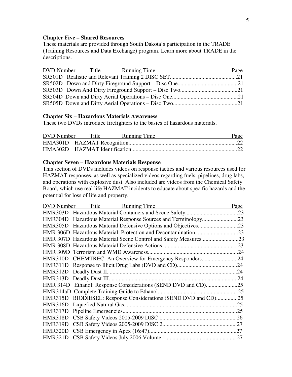#### **Chapter Five – Shared Resources**

These materials are provided through South Dakota's participation in the TRADE (Training Resources and Data Exchange) program. Learn more about TRADE in the descriptions.

|  | DVD Number Title Running Time | Page |
|--|-------------------------------|------|
|  |                               |      |
|  |                               |      |
|  |                               |      |
|  |                               |      |
|  |                               |      |

## **Chapter Six – Hazardous Materials Awareness**

These two DVDs introduce firefighters to the basics of hazardous materials.

|  | DVD Number Title Running Time | Page |
|--|-------------------------------|------|
|  |                               |      |
|  |                               |      |

#### **Chapter Seven – Hazardous Materials Response**

This section of DVDs includes videos on response tactics and various resources used for HAZMAT responses, as well as specialized videos regarding fuels, pipelines, drug labs, and operations with explosive dust. Also included are videos from the Chemical Safety Board, which use real life HAZMAT incidents to educate about specific hazards and the potential for loss of life and property.

| DVD Number<br>Title Running Time                               | Page |
|----------------------------------------------------------------|------|
|                                                                | .23  |
|                                                                |      |
|                                                                |      |
|                                                                |      |
|                                                                |      |
|                                                                | .23  |
|                                                                |      |
| HMR310D CHEMTREC: An Overview for Emergency Responders24       |      |
|                                                                |      |
|                                                                | 24   |
|                                                                |      |
|                                                                |      |
|                                                                |      |
| HMR315D BIODIESEL: Response Considerations (SEND DVD and CD)25 |      |
|                                                                |      |
|                                                                |      |
|                                                                |      |
|                                                                |      |
|                                                                |      |
|                                                                |      |
|                                                                |      |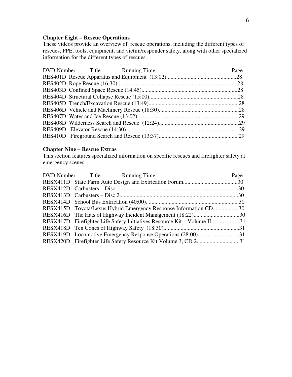## **Chapter Eight – Rescue Operations**

These videos provide an overview of rescue operations, including the different types of rescues, PPE, tools, equipment, and victim/responder safety, along with other specialized information for the different types of rescues.

| Page                          |
|-------------------------------|
|                               |
|                               |
|                               |
|                               |
|                               |
|                               |
|                               |
|                               |
|                               |
|                               |
| DVD Number Title Running Time |

#### **Chapter Nine – Rescue Extras**

This section features specialized information on specific rescues and firefighter safety at emergency scenes.

| DVD Number Title Running Time                                           | Page |
|-------------------------------------------------------------------------|------|
|                                                                         |      |
|                                                                         |      |
|                                                                         |      |
|                                                                         |      |
| RESX415D Toyota/Lexus Hybrid Emergency Response Information CD30        |      |
|                                                                         |      |
| RESX417D Firefighter Life Safety Initiatives Resource Kit – Volume II31 |      |
|                                                                         |      |
|                                                                         |      |
|                                                                         |      |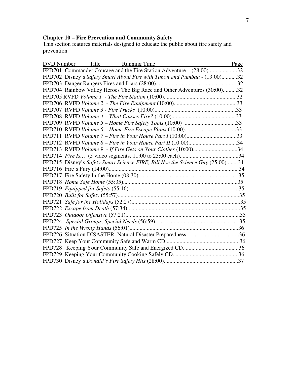#### **Chapter 10 – Fire Prevention and Community Safety**

This section features materials designed to educate the public about fire safety and prevention.

| DVD Number Title Running Time<br>Page                                         |  |
|-------------------------------------------------------------------------------|--|
| FPD701 Commander Courage and the Fire Station Adventure – (28:00)32           |  |
| FPD702 Disney's Safety Smart About Fire with Timon and Pumbaa - (13:00)32     |  |
|                                                                               |  |
| FPD704 Rainbow Valley Heroes The Big Race and Other Adventures (30:00)32      |  |
|                                                                               |  |
|                                                                               |  |
|                                                                               |  |
|                                                                               |  |
|                                                                               |  |
| FPD710 RVFD Volume 6 - Home Fire Escape Plans (10:00)33                       |  |
| FPD711 RVFD Volume 7 – Fire in Your House Part I (10:00)33                    |  |
| FPD712 RVFD Volume 8 – Fire in Your House Part II (10:00)34                   |  |
| FPD713 RVFD Volume 9 - If Fire Gets on Your Clothes (10:00)34                 |  |
|                                                                               |  |
| FPD715 Disney's Safety Smart Science FIRE, Bill Nye the Science Guy (25:00)34 |  |
|                                                                               |  |
|                                                                               |  |
|                                                                               |  |
|                                                                               |  |
|                                                                               |  |
|                                                                               |  |
|                                                                               |  |
|                                                                               |  |
|                                                                               |  |
|                                                                               |  |
|                                                                               |  |
|                                                                               |  |
|                                                                               |  |
|                                                                               |  |
|                                                                               |  |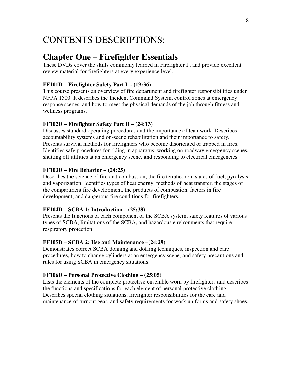# CONTENTS DESCRIPTIONS:

## **Chapter One** – **Firefighter Essentials**

These DVDs cover the skills commonly learned in Firefighter I , and provide excellent review material for firefighters at every experience level.

#### **FF101D – Firefighter Safety Part I - (19:36)**

This course presents an overview of fire department and firefighter responsibilities under NFPA 1500. It describes the Incident Command System, control zones at emergency response scenes, and how to meet the physical demands of the job through fitness and wellness programs.

#### **FF102D – Firefighter Safety Part II – (24:13)**

Discusses standard operating procedures and the importance of teamwork. Describes accountability systems and on-scene rehabilitation and their importance to safety. Presents survival methods for firefighters who become disoriented or trapped in fires. Identifies safe procedures for riding in apparatus, working on roadway emergency scenes, shutting off utilities at an emergency scene, and responding to electrical emergencies.

#### **FF103D – Fire Behavior – (24:25)**

Describes the science of fire and combustion, the fire tetrahedron, states of fuel, pyrolysis and vaporization. Identifies types of heat energy, methods of heat transfer, the stages of the compartment fire development, the products of combustion, factors in fire development, and dangerous fire conditions for firefighters.

#### **FF104D – SCBA 1: Introduction – (25:38)**

Presents the functions of each component of the SCBA system, safety features of various types of SCBA, limitations of the SCBA, and hazardous environments that require respiratory protection.

### **FF105D – SCBA 2: Use and Maintenance –(24:29)**

Demonstrates correct SCBA donning and doffing techniques, inspection and care procedures, how to change cylinders at an emergency scene, and safety precautions and rules for using SCBA in emergency situations.

#### **FF106D – Personal Protective Clothing – (25:05)**

Lists the elements of the complete protective ensemble worn by firefighters and describes the functions and specifications for each element of personal protective clothing. Describes special clothing situations, firefighter responsibilities for the care and maintenance of turnout gear, and safety requirements for work uniforms and safety shoes.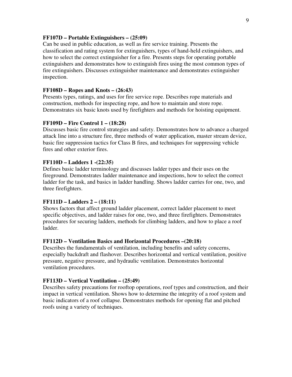#### **FF107D – Portable Extinguishers – (25:09)**

Can be used in public education, as well as fire service training. Presents the classification and rating system for extinguishers, types of hand-held extinguishers, and how to select the correct extinguisher for a fire. Presents steps for operating portable extinguishers and demonstrates how to extinguish fires using the most common types of fire extinguishers. Discusses extinguisher maintenance and demonstrates extinguisher inspection.

#### **FF108D – Ropes and Knots – (26:43)**

Presents types, ratings, and uses for fire service rope. Describes rope materials and construction, methods for inspecting rope, and how to maintain and store rope. Demonstrates six basic knots used by firefighters and methods for hoisting equipment.

#### **FF109D – Fire Control 1 – (18:28)**

Discusses basic fire control strategies and safety. Demonstrates how to advance a charged attack line into a structure fire, three methods of water application, master stream device, basic fire suppression tactics for Class B fires, and techniques for suppressing vehicle fires and other exterior fires.

#### **FF110D – Ladders 1 -(22:35)**

Defines basic ladder terminology and discusses ladder types and their uses on the fireground. Demonstrates ladder maintenance and inspections, how to select the correct ladder for the task, and basics in ladder handling. Shows ladder carries for one, two, and three firefighters.

#### **FF111D – Ladders 2 – (18:11)**

Shows factors that affect ground ladder placement, correct ladder placement to meet specific objectives, and ladder raises for one, two, and three firefighters. Demonstrates procedures for securing ladders, methods for climbing ladders, and how to place a roof ladder.

#### **FF112D – Ventilation Basics and Horizontal Procedures –(20:18)**

Describes the fundamentals of ventilation, including benefits and safety concerns, especially backdraft and flashover. Describes horizontal and vertical ventilation, positive pressure, negative pressure, and hydraulic ventilation. Demonstrates horizontal ventilation procedures.

#### **FF113D – Vertical Ventilation – (25:49)**

Describes safety precautions for rooftop operations, roof types and construction, and their impact in vertical ventilation. Shows how to determine the integrity of a roof system and basic indicators of a roof collapse. Demonstrates methods for opening flat and pitched roofs using a variety of techniques.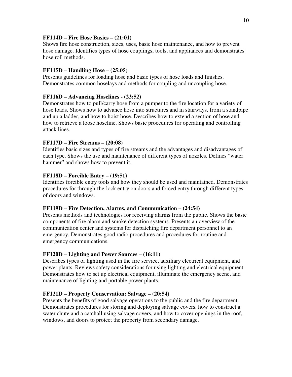### **FF114D – Fire Hose Basics – (21:01)**

Shows fire hose construction, sizes, uses, basic hose maintenance, and how to prevent hose damage. Identifies types of hose couplings, tools, and appliances and demonstrates hose roll methods.

## **FF115D – Handling Hose – (25:05)**

Presents guidelines for loading hose and basic types of hose loads and finishes. Demonstrates common hoselays and methods for coupling and uncoupling hose.

## **FF116D – Advancing Hoselines - (23:52)**

Demonstrates how to pull/carry hose from a pumper to the fire location for a variety of hose loads. Shows how to advance hose into structures and in stairways, from a standpipe and up a ladder, and how to hoist hose. Describes how to extend a section of hose and how to retrieve a loose hoseline. Shows basic procedures for operating and controlling attack lines.

## **FF117D – Fire Streams – (20:08)**

Identifies basic sizes and types of fire streams and the advantages and disadvantages of each type. Shows the use and maintenance of different types of nozzles. Defines "water hammer" and shows how to prevent it.

## **FF118D – Forcible Entry – (19:51)**

Identifies forcible entry tools and how they should be used and maintained. Demonstrates procedures for through-the-lock entry on doors and forced entry through different types of doors and windows.

## **FF119D – Fire Detection, Alarms, and Communication – (24:54)**

Presents methods and technologies for receiving alarms from the public. Shows the basic components of fire alarm and smoke detection systems. Presents an overview of the communication center and systems for dispatching fire department personnel to an emergency. Demonstrates good radio procedures and procedures for routine and emergency communications.

## **FF120D – Lighting and Power Sources – (16:11)**

Describes types of lighting used in the fire service, auxiliary electrical equipment, and power plants. Reviews safety considerations for using lighting and electrical equipment. Demonstrates how to set up electrical equipment, illuminate the emergency scene, and maintenance of lighting and portable power plants.

## **FF121D – Property Conservation: Salvage – (20:54)**

Presents the benefits of good salvage operations to the public and the fire department. Demonstrates procedures for storing and deploying salvage covers, how to construct a water chute and a catchall using salvage covers, and how to cover openings in the roof, windows, and doors to protect the property from secondary damage.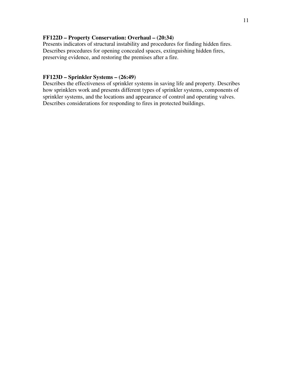### **FF122D – Property Conservation: Overhaul – (20:34)**

Presents indicators of structural instability and procedures for finding hidden fires. Describes procedures for opening concealed spaces, extinguishing hidden fires, preserving evidence, and restoring the premises after a fire.

#### **FF123D – Sprinkler Systems – (26:49)**

Describes the effectiveness of sprinkler systems in saving life and property. Describes how sprinklers work and presents different types of sprinkler systems, components of sprinkler systems, and the locations and appearance of control and operating valves. Describes considerations for responding to fires in protected buildings.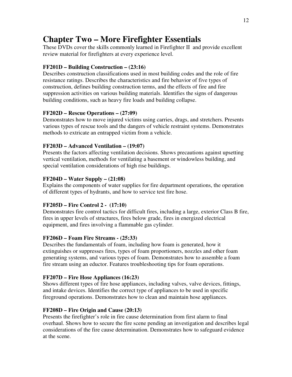## **Chapter Two – More Firefighter Essentials**

These DVDs cover the skills commonly learned in Firefighter II and provide excellent review material for firefighters at every experience level.

## **FF201D – Building Construction – (23:16)**

Describes construction classifications used in most building codes and the role of fire resistance ratings. Describes the characteristics and fire behavior of five types of construction, defines building construction terms, and the effects of fire and fire suppression activities on various building materials. Identifies the signs of dangerous building conditions, such as heavy fire loads and building collapse.

## **FF202D – Rescue Operations – (27:09)**

Demonstrates how to move injured victims using carries, drags, and stretchers. Presents various types of rescue tools and the dangers of vehicle restraint systems. Demonstrates methods to extricate an entrapped victim from a vehicle.

## **FF203D – Advanced Ventilation – (19:07)**

Presents the factors affecting ventilation decisions. Shows precautions against upsetting vertical ventilation, methods for ventilating a basement or windowless building, and special ventilation considerations of high rise buildings.

## **FF204D – Water Supply – (21:08)**

Explains the components of water supplies for fire department operations, the operation of different types of hydrants, and how to service test fire hose.

## **FF205D – Fire Control 2 - (17:10)**

Demonstrates fire control tactics for difficult fires, including a large, exterior Class B fire, fires in upper levels of structures, fires below grade, fires in energized electrical equipment, and fires involving a flammable gas cylinder.

#### **FF206D – Foam Fire Streams - (25:33)**

Describes the fundamentals of foam, including how foam is generated, how it extinguishes or suppresses fires, types of foam proportioners, nozzles and other foam generating systems, and various types of foam. Demonstrates how to assemble a foam fire stream using an eductor. Features troubleshooting tips for foam operations.

## **FF207D – Fire Hose Appliances (16:23)**

Shows different types of fire hose appliances, including valves, valve devices, fittings, and intake devices. Identifies the correct type of appliances to be used in specific fireground operations. Demonstrates how to clean and maintain hose appliances.

## **FF208D – Fire Origin and Cause (20:13)**

Presents the firefighter's role in fire cause determination from first alarm to final overhaul. Shows how to secure the fire scene pending an investigation and describes legal considerations of the fire cause determination. Demonstrates how to safeguard evidence at the scene.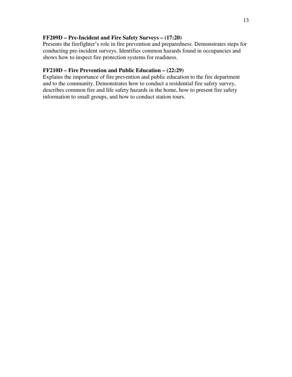#### **FF209D – Pre-Incident and Fire Safety Surveys – (17:20)**

Presents the firefighter's role in fire prevention and preparedness. Demonstrates steps for conducting pre-incident surveys. Identifies common hazards found in occupancies and shows how to inspect fire protection systems for readiness.

#### **FF210D – Fire Prevention and Public Education – (22:29)**

Explains the importance of fire prevention and public education to the fire department and to the community. Demonstrates how to conduct a residential fire safety survey, describes common fire and life safety hazards in the home, how to present fire safety information to small groups, and how to conduct station tours.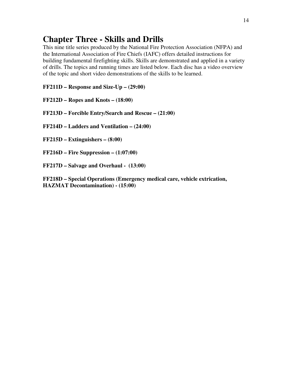## **Chapter Three - Skills and Drills**

This nine title series produced by the National Fire Protection Association (NFPA) and the International Association of Fire Chiefs (IAFC) offers detailed instructions for building fundamental firefighting skills. Skills are demonstrated and applied in a variety of drills. The topics and running times are listed below. Each disc has a video overview of the topic and short video demonstrations of the skills to be learned.

**FF211D – Response and Size-Up – (29:00)** 

- **FF212D Ropes and Knots (18:00)**
- **FF213D Forcible Entry/Search and Rescue (21:00)**
- **FF214D Ladders and Ventilation (24:00)**
- **FF215D Extinguishers (8:00)**
- **FF216D Fire Suppression (1:07:00)**
- **FF217D Salvage and Overhaul (13:00)**

**FF218D – Special Operations (Emergency medical care, vehicle extrication, HAZMAT Decontamination) - (15:00)**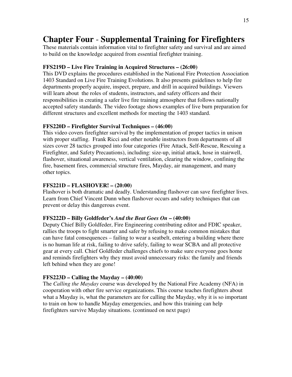## **Chapter Four** - **Supplemental Training for Firefighters**

These materials contain information vital to firefighter safety and survival and are aimed to build on the knowledge acquired from essential firefighter training.

#### **FFS219D – Live Fire Training in Acquired Structures – (26:00)**

This DVD explains the procedures established in the National Fire Protection Association 1403 Standard on Live Fire Training Evolutions. It also presents guidelines to help fire departments properly acquire, inspect, prepare, and drill in acquired buildings. Viewers will learn about the roles of students, instructors, and safety officers and their responsibilities in creating a safer live fire training atmosphere that follows nationally accepted safety standards. The video footage shows examples of live burn preparation for different structures and excellent methods for meeting the 1403 standard.

#### **FFS220D – Firefighter Survival Techniques – (46:00)**

This video covers firefighter survival by the implementation of proper tactics in unison with proper staffing. Frank Ricci and other notable instructors from departments of all sizes cover 28 tactics grouped into four categories (Fire Attack, Self-Rescue, Rescuing a Firefighter, and Safety Precautions), including: size-up, initial attack, hose in stairwell, flashover, situational awareness, vertical ventilation, clearing the window, confining the fire, basement fires, commercial structure fires, Mayday, air management, and many other topics.

#### **FFS221D – FLASHOVER! – (20:00)**

Flashover is both dramatic and deadly. Understanding flashover can save firefighter lives. Learn from Chief Vincent Dunn when flashover occurs and safety techniques that can prevent or delay this dangerous event.

#### **FFS222D – Billy Goldfeder's** *And the Beat Goes On* **– (40:00)**

Deputy Chief Billy Goldfeder, Fire Engineering contributing editor and FDIC speaker, rallies the troops to fight smarter and safer by refusing to make common mistakes that can have fatal consequences – failing to wear a seatbelt, entering a building where there is no human life at risk, failing to drive safely, failing to wear SCBA and all protective gear at every call. Chief Goldfeder challenges chiefs to make sure everyone goes home and reminds firefighters why they must avoid unnecessary risks: the family and friends left behind when they are gone!

#### **FFS223D – Calling the Mayday – (40:00)**

The *Calling the Mayday* course was developed by the National Fire Academy (NFA) in cooperation with other fire service organizations. This course teaches firefighters about what a Mayday is, what the parameters are for calling the Mayday, why it is so important to train on how to handle Mayday emergencies, and how this training can help firefighters survive Mayday situations. (continued on next page)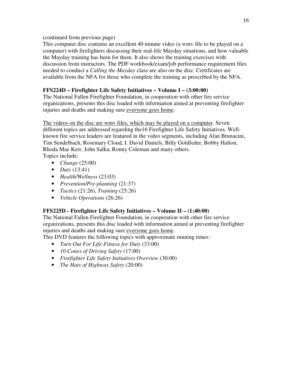(continued from previous page)

This computer disc contains an excellent 40 minute video (a wmv file to be played on a computer) with firefighters discussing their real-life Mayday situations, and how valuable the Mayday training has been for them. It also shows the training exercises with discussion from instructors. The PDF workbook/exam/job performance requirement files needed to conduct a *Calling the Mayday* class are also on the disc. Certificates are available from the NFA for those who complete the training as prescribed by the NFA.

## **FFS224D – Firefighter Life Safety Initiatives – Volume I – (3:00:00)**

The National Fallen Firefighter Foundation, in cooperation with other fire service organizations, presents this disc loaded with information aimed at preventing firefighter injuries and deaths and making sure everyone goes home.

The videos on the disc are wmv files, which may be played on a computer. Seven different topics are addressed regarding the16 Firefighter Life Safety Initiatives. Wellknown fire service leaders are featured in the video segments, including Alan Brunacini, Tim Sendelbach, Rosemary Cloud, I. David Daniels, Billy Goldfeder, Bobby Halton, Rhoda Mae Kerr, John Salka, Ronny Coleman and many others. Topics include:

- *Change* (25:00)
- *Duty* (13:41)
- *Health/Wellness* (23:03)
- *Prevention/Pre-planning* (21:37)
- *Tactics* (21:26), *Training* (25:26)
- *Vehicle Operations* (26:26)

## **FFS225D - Firefighter Life Safety Initiatives – Volume II – (1:40:00)**

The National Fallen Firefighter Foundation, in cooperation with other fire service organizations, presents this disc loaded with information aimed at preventing firefighter injuries and deaths and making sure everyone goes home.

This DVD features the following topics with approximate running times:

- *Turn Out For Life-Fitness for Duty* (33:00)
- *10 Cones of Driving Safety* (17:00)
- *Firefighter Life Safety Initiatives Overview* (30:00)
- *The Hats of Highway Safety* (20:00)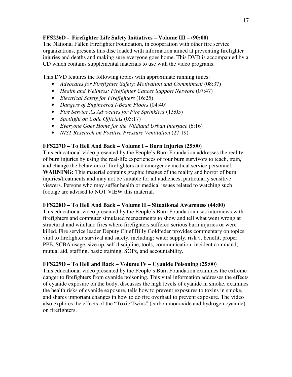## **FFS226D - Firefighter Life Safety Initiatives – Volume III – (90:00)**

The National Fallen Firefighter Foundation, in cooperation with other fire service organizations, presents this disc loaded with information aimed at preventing firefighter injuries and deaths and making sure everyone goes home. This DVD is accompanied by a CD which contains supplemental materials to use with the video programs.

This DVD features the following topics with approximate running times:

- *Advocates for Firefighter Safety: Motivation and Commitment* (08:37)
- *Health and Wellness: Firefighter Cancer Support Network* (07:47)
- *Electrical Safety for Firefighters* (16:25)
- *Dangers of Engineered I-Beam Floors* (04:40)
- *Fire Service As Advocates for Fire Sprinklers* (13:05)
- *Spotlight on Code Officials* (05:17)
- *Everyone Goes Home for the Wildland Urban Interface* (6:16)
- *NIST Research on Positive Pressure Ventilation* (27:19)

## **FFS227D – To Hell And Back – Volume I – Burn Injuries (25:00)**

This educational video presented by the People's Burn Foundation addresses the reality of burn injuries by using the real-life experiences of four burn survivors to teach, train, and change the behaviors of firefighters and emergency medical service personnel. **WARNING:** This material contains graphic images of the reality and horror of burn injuries/treatments and may not be suitable for all audiences, particularly sensitive viewers. Persons who may suffer health or medical issues related to watching such footage are advised to NOT VIEW this material.

## **FFS228D – To Hell And Back – Volume II – Situational Awareness (44:00)**

This educational video presented by the People's Burn Foundation uses interviews with firefighters and computer simulated reenactments to show and tell what went wrong at structural and wildland fires where firefighters suffered serious burn injuries or were killed. Fire service leader Deputy Chief Billy Goldfeder provides commentary on topics vital to firefighter survival and safety, including: water supply, risk v. benefit, proper PPE, SCBA usage, size up, self discipline, tools, communication, incident command, mutual aid, staffing, basic training, SOPs, and accountability.

## **FFS229D – To Hell and Back – Volume IV – Cyanide Poisoning (25:00)**

This educational video presented by the People's Burn Foundation examines the extreme danger to firefighters from cyanide poisoning. This vital information addresses the effects of cyanide exposure on the body, discusses the high levels of cyanide in smoke, examines the health risks of cyanide exposure, tells how to prevent exposures to toxins in smoke, and shares important changes in how to do fire overhaul to prevent exposure. The video also explores the effects of the "Toxic Twins" (carbon monoxide and hydrogen cyanide) on firefighters.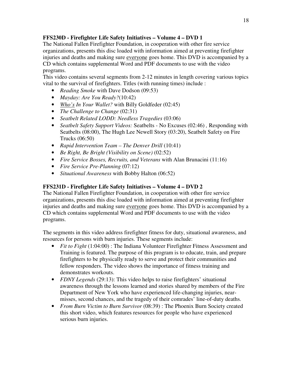## **FFS230D - Firefighter Life Safety Initiatives – Volume 4 – DVD 1**

The National Fallen Firefighter Foundation, in cooperation with other fire service organizations, presents this disc loaded with information aimed at preventing firefighter injuries and deaths and making sure everyone goes home. This DVD is accompanied by a CD which contains supplemental Word and PDF documents to use with the video programs.

This video contains several segments from 2-12 minutes in length covering various topics vital to the survival of firefighters. Titles (with running times) include :

- *Reading Smoke* with Dave Dodson (09:53)
- *Mayday: Are You Ready?*(10:42)
- *Who's In Your Wallet?* with Billy Goldfeder (02:45)
- *The Challenge to Change* (02:31)
- *Seatbelt Related LODD: Needless Tragedies* (03:06)
- *Seatbelt Safety Support Videos:* Seatbelts No Excuses (02:46) *,* Responding with Seatbelts (08:00), The Hugh Lee Newell Story (03:20), Seatbelt Safety on Fire Trucks (06:50)
- *Rapid Intervention Team The Denver Drill* (10:41)
- *Be Right, Be Bright (Visibility on Scene)* (02:52)
- *Fire Service Bosses, Recruits, and Veterans* with Alan Brunacini (11:16)
- *Fire Service Pre-Planning* (07:12)
- *Situational Awareness* with Bobby Halton (06:52)

## **FFS231D - Firefighter Life Safety Initiatives – Volume 4 – DVD 2**

The National Fallen Firefighter Foundation, in cooperation with other fire service organizations, presents this disc loaded with information aimed at preventing firefighter injuries and deaths and making sure everyone goes home. This DVD is accompanied by a CD which contains supplemental Word and PDF documents to use with the video programs.

The segments in this video address firefighter fitness for duty, situational awareness, and resources for persons with burn injuries. These segments include:

- *Fit to Fight* (1:04:00) : The Indiana Volunteer Firefighter Fitness Assessment and Training is featured. The purpose of this program is to educate, train, and prepare firefighters to be physically ready to serve and protect their communities and fellow responders. The video shows the importance of fitness training and demonstrates workouts.
- *FDNY Legends* (29:13): This video helps to raise firefighters' situational awareness through the lessons learned and stories shared by members of the Fire Department of New York who have experienced life-changing injuries, nearmisses, second chances, and the tragedy of their comrades' line-of-duty deaths.
- *From Burn Victim to Burn Survivor* (08:39) : The Phoenix Burn Society created this short video, which features resources for people who have experienced serious burn injuries.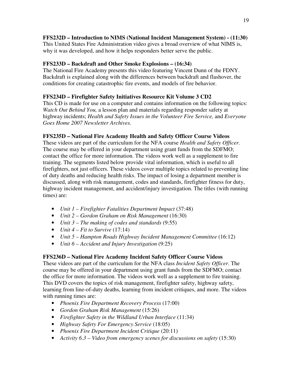## **FFS232D – Introduction to NIMS (National Incident Management System) - (11:30)**

This United States Fire Administration video gives a broad overview of what NIMS is, why it was developed, and how it helps responders better serve the public.

## **FFS233D – Backdraft and Other Smoke Explosions – (16:34)**

The National Fire Academy presents this video featuring Vincent Dunn of the FDNY. Backdraft is explained along with the differences between backdraft and flashover, the conditions for creating catastrophic fire events, and models of fire behavior.

## **FFS234D – Firefighter Safety Initiatives Resource Kit Volume 3 CD2**

This CD is made for use on a computer and contains information on the following topics: *Watch Out Behind You,* a lesson plan and materials regarding responder safety at highway incidents; *Health and Safety Issues in the Volunteer Fire Service,* and *Everyone Goes Home 2007 Newsletter Archives.* 

## **FFS235D – National Fire Academy Health and Safety Officer Course Videos**

These videos are part of the curriculum for the NFA course *Health and Safety Officer*. The course may be offered in your department using grant funds from the SDFMO; contact the office for more information. The videos work well as a supplement to fire training. The segments listed below provide vital information, which is useful to all firefighters, not just officers. These videos cover multiple topics related to preventing line of duty deaths and reducing health risks. The impact of losing a department member is discussed, along with risk management, codes and standards, firefighter fitness for duty, highway incident management, and accident/injury investigation. The titles (with running times) are:

- *Unit 1 Firefighter Fatalities Department Impact* (37:48)
- *Unit 2 Gordon Graham on Risk Management* (16:30)
- *Unit 3 The making of codes and standards* (9:55)
- *Unit 4 Fit to Survive* (17:14)
- *Unit 5 Hampton Roads Highway Incident Management Committee* (16:12)
- *Unit 6 Accident and Injury Investigation* (9:25)

## **FFS236D – National Fire Academy Incident Safety Officer Course Videos**

These videos are part of the curriculum for the NFA class *Incident Safety Officer*. The course may be offered in your department using grant funds from the SDFMO; contact the office for more information. The videos work well as a supplement to fire training. This DVD covers the topics of risk management, firefighter safety, highway safety, learning from line-of-duty deaths, learning from incident critiques, and more. The videos with running times are:

- *Phoenix Fire Department Recovery Process* (17:00)
- *Gordon Graham Risk Management* (15:26)
- *Firefighter Safety in the Wildland Urban Interface* (11:34)
- *Highway Safety For Emergency Service* (18:05)
- *Phoenix Fire Department Incident Critique* (20:11)
- *Activity 6.3 Video from emergency scenes for discussions on safety* (15:30)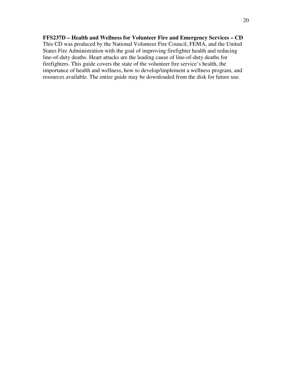**FFS237D – Health and Wellness for Volunteer Fire and Emergency Services – CD**  This CD was produced by the National Volunteer Fire Council, FEMA, and the United States Fire Administration with the goal of improving firefighter health and reducing line-of-duty deaths. Heart attacks are the leading cause of line-of-duty deaths for firefighters. This guide covers the state of the volunteer fire service's health, the importance of health and wellness, how to develop/implement a wellness program, and resources available. The entire guide may be downloaded from the disk for future use.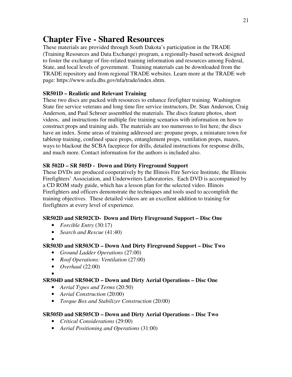## **Chapter Five - Shared Resources**

These materials are provided through South Dakota's participation in the TRADE (Training Resources and Data Exchange) program, a regionally-based network designed to foster the exchange of fire-related training information and resources among Federal, State, and local levels of government. Training materials can be downloaded from the TRADE repository and from regional TRADE websites. Learn more at the TRADE web page: https://www.usfa.dhs.gov/nfa/trade/index.shtm.

## **SR501D – Realistic and Relevant Training**

These two discs are packed with resources to enhance firefighter training. Washington State fire service veterans and long time fire service instructors, Dr. Stan Anderson, Craig Anderson, and Paul Schroer assembled the materials. The discs feature photos, short videos, and instructions for multiple fire training scenarios with information on how to construct props and training aids. The materials are too numerous to list here; the discs have an index. Some areas of training addressed are: propane props, a miniature town for tabletop training, confined space props, entanglement props, ventilation props, mazes, ways to blackout the SCBA facepiece for drills, detailed instructions for response drills, and much more. Contact information for the authors is included also.

## **SR 502D – SR 505D - Down and Dirty Fireground Support**

These DVDs are produced cooperatively by the Illinois Fire Service Institute, the Illinois Firefighters' Association, and Underwriters Laboratories. Each DVD is accompanied by a CD ROM study guide, which has a lesson plan for the selected video. Illinois Firefighters and officers demonstrate the techniques and tools used to accomplish the training objectives. These detailed videos are an excellent addition to training for firefighters at every level of experience.

## **SR502D and SR502CD- Down and Dirty Fireground Support – Disc One**

- *Forcible Entry* (30:17)
- *Search and Rescue* (41:40)

## • **SR503D and SR503CD – Down And Dirty Fireground Support – Disc Two**

- *Ground Ladder Operations* (27:00)
- *Roof Operations: Ventilation* (27:00)
- *Overhaul* (22:00)
- •

## **SR504D and SR504CD – Down and Dirty Aerial Operations – Disc One**

- *Aerial Types and Terms* (20:50)
- *Aerial Construction* (20:00)
- *Torque Box and Stabilizer Construction* (20:00)

## **SR505D and SR505CD – Down and Dirty Aerial Operations – Disc Two**

- *Critical Considerations* (29:00)
- *Aerial Positioning and Operations* (31:00)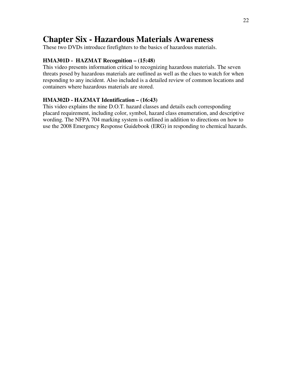## **Chapter Six - Hazardous Materials Awareness**

These two DVDs introduce firefighters to the basics of hazardous materials.

## **HMA301D - HAZMAT Recognition – (15:48)**

This video presents information critical to recognizing hazardous materials. The seven threats posed by hazardous materials are outlined as well as the clues to watch for when responding to any incident. Also included is a detailed review of common locations and containers where hazardous materials are stored.

## **HMA302D - HAZMAT Identification – (16:43)**

This video explains the nine D.O.T. hazard classes and details each corresponding placard requirement, including color, symbol, hazard class enumeration, and descriptive wording. The NFPA 704 marking system is outlined in addition to directions on how to use the 2008 Emergency Response Guidebook (ERG) in responding to chemical hazards.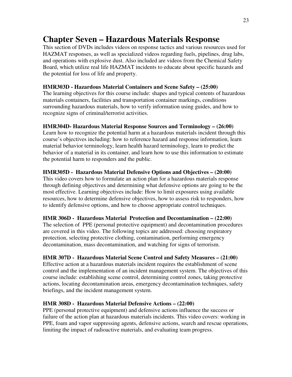## **Chapter Seven – Hazardous Materials Response**

This section of DVDs includes videos on response tactics and various resources used for HAZMAT responses, as well as specialized videos regarding fuels, pipelines, drug labs, and operations with explosive dust. Also included are videos from the Chemical Safety Board, which utilize real life HAZMAT incidents to educate about specific hazards and the potential for loss of life and property.

#### **HMR303D - Hazardous Material Containers and Scene Safety – (25:00)**

The learning objectives for this course include: shapes and typical contents of hazardous materials containers, facilities and transportation container markings, conditions surrounding hazardous materials, how to verify information using guides, and how to recognize signs of criminal/terrorist activities.

#### **HMR304D- Hazardous Material Response Sources and Terminology – (26:00)**

Learn how to recognize the potential harm at a hazardous materials incident through this course's objectives including: how to reference hazard and response information, learn material behavior terminology, learn health hazard terminology, learn to predict the behavior of a material in its container, and learn how to use this information to estimate the potential harm to responders and the public.

#### **HMR305D - Hazardous Material Defensive Options and Objectives – (20:00)**

This video covers how to formulate an action plan for a hazardous materials response through defining objectives and determining what defensive options are going to be the most effective. Learning objectives include: How to limit exposures using available resources, how to determine defensive objectives, how to assess risk to responders, how to identify defensive options, and how to choose appropriate control techniques.

#### **HMR 306D - Hazardous Material Protection and Decontamination – (22:00)**

The selection of PPE (personal protective equipment) and decontamination procedures are covered in this video. The following topics are addressed: choosing respiratory protection, selecting protective clothing, contamination, performing emergency decontamination, mass decontamination, and watching for signs of terrorism.

#### **HMR 307D - Hazardous Material Scene Control and Safety Measures – (21:00)**

Effective action at a hazardous materials incident requires the establishment of scene control and the implementation of an incident management system. The objectives of this course include: establishing scene control, determining control zones, taking protective actions, locating decontamination areas, emergency decontamination techniques, safety briefings, and the incident management system.

#### **HMR 308D - Hazardous Material Defensive Actions – (22:00)**

PPE (personal protective equipment) and defensive actions influence the success or failure of the action plan at hazardous materials incidents. This video covers: working in PPE, foam and vapor suppressing agents, defensive actions, search and rescue operations, limiting the impact of radioactive materials, and evaluating team progress.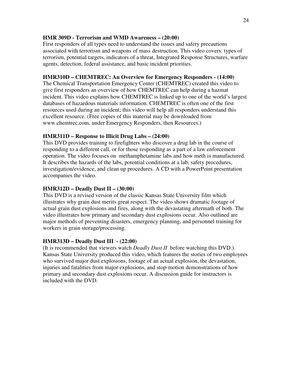#### **HMR 309D - Terrorism and WMD Awareness – (20:00)**

First responders of all types need to understand the issues and safety precautions associated with terrorism and weapons of mass destruction. This video covers: types of terrorism, potential targets, indicators of a threat, Integrated Response Structures, warfare agents, detection, federal assistance, and basic incident priorities.

#### **HMR310D – CHEMTREC: An Overview for Emergency Responders - (14:00)**

The Chemical Transportation Emergency Center (CHEMTREC) created this video to give first responders an overview of how CHEMTREC can help during a hazmat incident. This video explains how CHEMTREC is linked up to one of the world's largest databases of hazardous materials information. CHEMTREC is often one of the first resources used during an incident; this video will help all responders understand this excellent resource. (Free copies of this material may be downloaded from www.chemtrec.com, under Emergency Responders, then Resources.)

#### **HMR311D – Response to Illicit Drug Labs – (24:00)**

This DVD provides training to firefighters who discover a drug lab in the course of responding to a different call, or for those responding as a part of a law enforcement operation. The video focuses on methamphetamine labs and how meth is manufactured. It describes the hazards of the labs, potential conditions at a lab, safety procedures, investigation/evidence, and clean up procedures. A CD with a PowerPoint presentation accompanies the video.

#### **HMR312D – Deadly Dust II – (30:00)**

This DVD is a revised version of the classic Kansas State University film which illustrates why grain dust merits great respect. The video shows dramatic footage of actual grain dust explosions and fires, along with the devastating aftermath of both. The video illustrates how primary and secondary dust explosions occur. Also outlined are major methods of preventing disasters, emergency planning, and personnel training for workers in grain storage/processing.

#### **HMR313D – Deadly Dust III - (22:00)**

(It is recommended that viewers watch *Deadly Dust II* before watching this DVD.) Kansas State University produced this video, which features the stories of two employees who survived major dust explosions, footage of an actual explosion, the devastation, injuries and fatalities from major explosions, and stop-motion demonstrations of how primary and secondary dust explosions occur. A discussion guide for instructors is included with the DVD.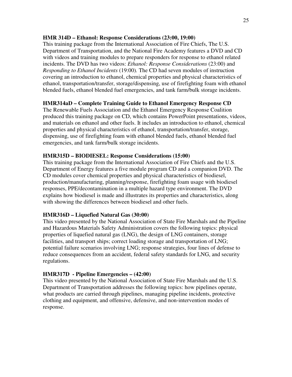#### **HMR 314D – Ethanol: Response Considerations (23:00, 19:00)**

This training package from the International Association of Fire Chiefs, The U.S. Department of Transportation, and the National Fire Academy features a DVD and CD with videos and training modules to prepare responders for response to ethanol related incidents. The DVD has two videos: *Ethanol: Response Considerations* (23:00) and *Responding to Ethanol Incidents* (19:00)*.* The CD had seven modules of instruction covering an introduction to ethanol, chemical properties and physical characteristics of ethanol, transportation/transfer, storage/dispensing, use of firefighting foam with ethanol blended fuels, ethanol blended fuel emergencies, and tank farm/bulk storage incidents.

## **HMR314aD – Complete Training Guide to Ethanol Emergency Response CD**

The Renewable Fuels Association and the Ethanol Emergency Response Coalition produced this training package on CD, which contains PowerPoint presentations, videos, and materials on ethanol and other fuels. It includes an introduction to ethanol, chemical properties and physical characteristics of ethanol, transportation/transfer, storage, dispensing, use of firefighting foam with ethanol blended fuels, ethanol blended fuel emergencies, and tank farm/bulk storage incidents.

## **HMR315D – BIODIESEL: Response Considerations (15:00)**

This training package from the International Association of Fire Chiefs and the U.S. Department of Energy features a five module program CD and a companion DVD. The CD modules cover chemical properties and physical characteristics of biodiesel, production/manufacturing, planning/response, firefighting foam usage with biodiesel responses, PPE/decontamination in a multiple hazard type environment. The DVD explains how biodiesel is made and illustrates its properties and characteristics, along with showing the differences between biodiesel and other fuels.

#### **HMR316D – Liquefied Natural Gas (30:00)**

This video presented by the National Association of State Fire Marshals and the Pipeline and Hazardous Materials Safety Administration covers the following topics: physical properties of liquefied natural gas (LNG), the design of LNG containers, storage facilities, and transport ships; correct loading storage and transportation of LNG; potential failure scenarios involving LNG; response strategies, four lines of defense to reduce consequences from an accident, federal safety standards for LNG, and security regulations.

#### **HMR317D - Pipeline Emergencies – (42:00)**

This video presented by the National Association of State Fire Marshals and the U.S. Department of Transportation addresses the following topics: how pipelines operate, what products are carried through pipelines, managing pipeline incidents, protective clothing and equipment, and offensive, defensive, and non-intervention modes of response.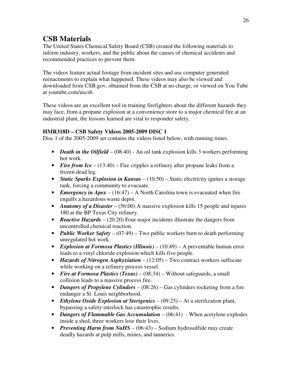## **CSB Materials**

The United States Chemical Safety Board (CSB) created the following materials to inform industry, workers, and the public about the causes of chemical accidents and recommended practices to prevent them.

The videos feature actual footage from incident sites and use computer generated reenactments to explain what happened. These videos may also be viewed and downloaded from CSB.gov, obtained from the CSB at no charge, or viewed on You Tube at youtube.com/uscsb.

These videos are an excellent tool in training firefighters about the different hazards they may face, from a propane explosion at a convenience store to a major chemical fire at an industrial plant, the lessons learned are vital to responder safety.

## **HMR318D – CSB Safety Videos 2005-2009 DISC 1**

Disc 1 of the 2005-2009 set contains the videos listed below, with running times.

- *Death in the Oilfield* (08:40) An oil tank explosion kills 3 workers performing hot work.
- *Fire from Ice* (13:40) Fire cripples a refinery after propane leaks from a frozen dead leg.
- *Static Sparks Explosion in Kansas* (10:50) Static electricity ignites a storage tank, forcing a community to evacuate.
- *Emergency in Apex* (16:47) A North Carolina town is evacuated when fire engulfs a hazardous waste depot.
- *Anatomy of a Disaster* (56:00) A massive explosion kills 15 people and injures 180 at the BP Texas City refinery.
- *Reactive Hazards* (20:20) Four major incidents illustrate the dangers from uncontrolled chemical reaction.
- *Public Worker Safety* (07:49) Two public workers burn to death performing unregulated hot work.
- *Explosion at Formosa Plastics (Illinois)* (10:49) A preventable human error leads to a vinyl chloride explosion which kills five people.
- *Hazards of Nitrogen Asphyxiation* (12:05) Two contract workers suffocate while working on a refinery process vessel.
- *Fire at Formosa Plastics (Texas)* (08:34) Without safeguards, a small collision leads to a massive process fire.
- *Dangers of Propylene Cylinders* (08:26) Gas cylinders rocketing from a fire endanger a St. Louis neighborhood.
- *Ethylene Oxide Explosion at Sterigenics –* (09:25) At a sterilization plant, bypassing a safety interlock has catastrophic results.
- *Dangers of Flammable Gas Accumulation* (06:41) When acetylene explodes inside a shed, three workers lose their lives.
- *Preventing Harm from NaHS* (06:43) Sodium hydrosulfide may create deadly hazards at pulp mills, mines, and tanneries.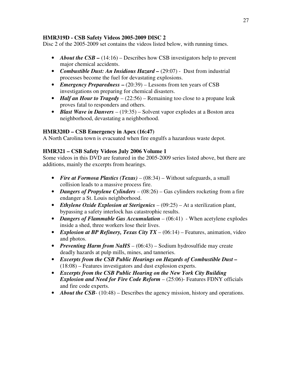## **HMR319D - CSB Safety Videos 2005-2009 DISC 2**

Disc 2 of the 2005-2009 set contains the videos listed below, with running times.

- *About the CSB –* (14:16) Describes how CSB investigators help to prevent major chemical accidents.
- *Combustible Dust: An Insidious Hazard (29:07)* Dust from industrial processes become the fuel for devastating explosions.
- *Emergency Preparedness*  $(20:39)$  Lessons from ten years of CSB investigations on preparing for chemical disasters.
- *Half an Hour to Tragedy* (22:56) Remaining too close to a propane leak proves fatal to responders and others.
- *Blast Wave in Danvers* (19:35) Solvent vapor explodes at a Boston area neighborhood, devastating a neighborhood.

## **HMR320D – CSB Emergency in Apex (16:47)**

A North Carolina town is evacuated when fire engulfs a hazardous waste depot.

## **HMR321 – CSB Safety Videos July 2006 Volume 1**

Some videos in this DVD are featured in the 2005-2009 series listed above, but there are additions, mainly the excerpts from hearings.

- *Fire at Formosa Plastics (Texas)* (08:34) Without safeguards, a small collision leads to a massive process fire.
- *Dangers of Propylene Cylinders* (08:26) Gas cylinders rocketing from a fire endanger a St. Louis neighborhood.
- *Ethylene Oxide Explosion at Sterigenics –* (09:25) At a sterilization plant, bypassing a safety interlock has catastrophic results.
- *Dangers of Flammable Gas Accumulation* (06:41) When acetylene explodes inside a shed, three workers lose their lives.
- *Explosion at BP Refinery, Texas City TX* (06:14) Features, animation, video and photos.
- *Preventing Harm from NaHS* (06:43) Sodium hydrosulfide may create deadly hazards at pulp mills, mines, and tanneries.
- *Excerpts from the CSB Public Hearings on Hazards of Combustible Dust –* (18:08) – Features investigators and dust explosion experts.
- *Excerpts from the CSB Public Hearing on the New York City Building Explosion and Need for Fire Code Reform – (25:06)- Features FDNY officials* and fire code experts.
- *About the CSB* (10:48) Describes the agency mission, history and operations.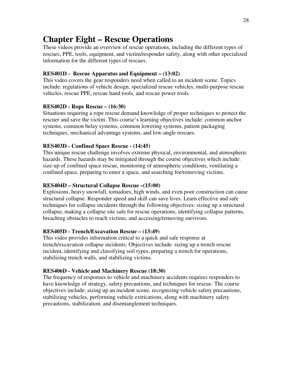## **Chapter Eight – Rescue Operations**

These videos provide an overview of rescue operations, including the different types of rescues, PPE, tools, equipment, and victim/responder safety, along with other specialized information for the different types of rescues.

### **RES401D - Rescue Apparatus and Equipment – (13:02)**

This video covers the gear responders need when called to an incident scene. Topics include: regulations of vehicle design, specialized rescue vehicles, multi-purpose rescue vehicles, rescue PPE, rescue hand tools, and rescue power tools.

#### **RES402D - Rope Rescue – (16:30)**

Situations requiring a rope rescue demand knowledge of proper techniques to protect the rescuer and save the victim. This course's learning objectives include: common anchor systems, common belay systems, common lowering systems, patient packaging techniques, mechanical advantage systems, and low-angle rescues.

#### **RES403D - Confined Space Rescue - (14:45)**

This unique rescue challenge involves extreme physical, environmental, and atmospheric hazards. These hazards may be mitigated through the course objectives which include: size-up of confined space rescue, monitoring of atmospheric conditions, ventilating a confined space, preparing to enter a space, and searching for/removing victims.

#### **RES404D – Structural Collapse Rescue –(15:00)**

Explosions, heavy snowfall, tornadoes, high winds, and even poor construction can cause structural collapse. Responder speed and skill can save lives. Learn effective and safe techniques for collapse incidents through the following objectives: sizing up a structural collapse, making a collapse site safe for rescue operations, identifying collapse patterns, breaching obstacles to reach victims, and accessing/removing survivors.

#### **RES405D - Trench/Excavation Rescue – (13:49)**

This video provides information critical to a quick and safe response at trench/excavation collapse incidents. Objectives include: sizing up a trench rescue incident, identifying and classifying soil types, preparing a trench for operations, stabilizing trench walls, and stabilizing victims.

#### **RES406D - Vehicle and Machinery Rescue (18:30)**

The frequency of responses to vehicle and machinery accidents requires responders to have knowledge of strategy, safety precautions, and techniques for rescue. The course objectives include: sizing up an incident scene, recognizing vehicle safety precautions, stabilizing vehicles, performing vehicle extrications, along with machinery safety precautions, stabilization, and disentanglement techniques.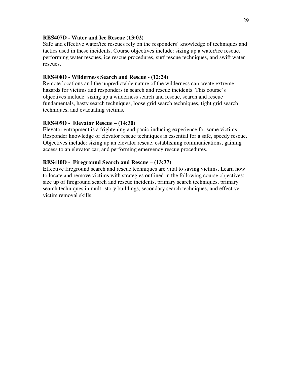#### **RES407D - Water and Ice Rescue (13:02)**

Safe and effective water/ice rescues rely on the responders' knowledge of techniques and tactics used in these incidents. Course objectives include: sizing up a water/ice rescue, performing water rescues, ice rescue procedures, surf rescue techniques, and swift water rescues.

#### **RES408D - Wilderness Search and Rescue - (12:24)**

Remote locations and the unpredictable nature of the wilderness can create extreme hazards for victims and responders in search and rescue incidents. This course's objectives include: sizing up a wilderness search and rescue, search and rescue fundamentals, hasty search techniques, loose grid search techniques, tight grid search techniques, and evacuating victims.

#### **RES409D - Elevator Rescue – (14:30)**

Elevator entrapment is a frightening and panic-inducing experience for some victims. Responder knowledge of elevator rescue techniques is essential for a safe, speedy rescue. Objectives include: sizing up an elevator rescue, establishing communications, gaining access to an elevator car, and performing emergency rescue procedures.

#### **RES410D - Fireground Search and Rescue – (13:37)**

Effective fireground search and rescue techniques are vital to saving victims. Learn how to locate and remove victims with strategies outlined in the following course objectives: size up of fireground search and rescue incidents, primary search techniques, primary search techniques in multi-story buildings, secondary search techniques, and effective victim removal skills.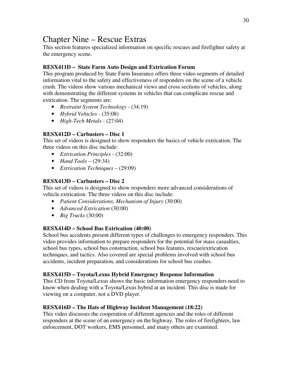## Chapter Nine – Rescue Extras

This section features specialized information on specific rescues and firefighter safety at the emergency scene.

## **RESX411D – State Farm Auto Design and Extrication Forum**

This program produced by State Farm Insurance offers three video segments of detailed information vital to the safety and effectiveness of responders on the scene of a vehicle crash. The videos show various mechanical views and cross sections of vehicles, along with demonstrating the different systems in vehicles that can complicate rescue and extrication. The segments are:

- *Restraint System Technology -* (34:19)
- *Hybrid Vehicles -* (35:08)
- *High-Tech Metals -* (27:04)

## **RESX412D – Carbusters – Disc 1**

This set of videos is designed to show responders the basics of vehicle extrication. The three videos on this disc include:

- *Extrication Principles* (32:00)
- *Hand Tools* (29:34)
- *Extrication Techniques* (29:09)

## **RESX413D – Carbusters – Disc 2**

This set of videos is designed to show responders more advanced considerations of vehicle extrication. The three videos on this disc include:

- *Patient Considerations, Mechanism of Injury* (30:00)
- *Advanced Extrication* (30:00)
- *Big Trucks* (30:00)

## **RESX414D – School Bus Extrication (40:00)**

School bus accidents present different types of challenges to emergency responders. This video provides information to prepare responders for the potential for mass casualties, school bus types, school bus construction, school bus features, rescue/extrication techniques, and tactics. Also covered are special problems involved with school bus accidents, incident preparation, and considerations for school bus crashes.

## **RESX415D – Toyota/Lexus Hybrid Emergency Response Information**

This CD from Toyota/Lexus shows the basic information emergency responders need to know when dealing with a Toyota/Lexus hybrid at an incident. This disc is made for viewing on a computer, not a DVD player.

## **RESX416D – The Hats of Highway Incident Management (18:22)**

This video discusses the cooperation of different agencies and the roles of different responders at the scene of an emergency on the highway. The roles of firefighters, law enforcement, DOT workers, EMS personnel, and many others are examined.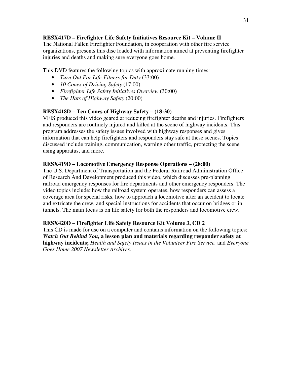## **RESX417D – Firefighter Life Safety Initiatives Resource Kit – Volume II**

The National Fallen Firefighter Foundation, in cooperation with other fire service organizations, presents this disc loaded with information aimed at preventing firefighter injuries and deaths and making sure everyone goes home.

This DVD features the following topics with approximate running times:

- *Turn Out For Life-Fitness for Duty* (33:00)
- *10 Cones of Driving Safety* (17:00)
- *Firefighter Life Safety Initiatives Overview* (30:00)
- *The Hats of Highway Safety* (20:00)

## **RESX418D – Ten Cones of Highway Safety – (18:30)**

VFIS produced this video geared at reducing firefighter deaths and injuries. Firefighters and responders are routinely injured and killed at the scene of highway incidents. This program addresses the safety issues involved with highway responses and gives information that can help firefighters and responders stay safe at these scenes. Topics discussed include training, communication, warning other traffic, protecting the scene using apparatus, and more.

#### **RESX419D – Locomotive Emergency Response Operations – (28:00)**

The U.S. Department of Transportation and the Federal Railroad Administration Office of Research And Development produced this video, which discusses pre-planning railroad emergency responses for fire departments and other emergency responders. The video topics include: how the railroad system operates, how responders can assess a coverage area for special risks, how to approach a locomotive after an accident to locate and extricate the crew, and special instructions for accidents that occur on bridges or in tunnels. The main focus is on life safety for both the responders and locomotive crew.

#### **RESX420D – Firefighter Life Safety Resource Kit Volume 3, CD 2**

This CD is made for use on a computer and contains information on the following topics: *Watch Out Behind You,* **a lesson plan and materials regarding responder safety at highway incidents;** *Health and Safety Issues in the Volunteer Fire Service,* and *Everyone Goes Home 2007 Newsletter Archives.*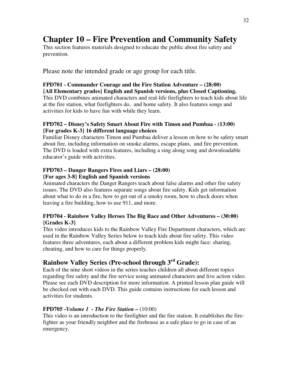## **Chapter 10 – Fire Prevention and Community Safety**

This section features materials designed to educate the public about fire safety and prevention.

Please note the intended grade or age group for each title.

## **FPD701 - Commander Courage and the Fire Station Adventure – (28:00)**

**{All Elementary grades} English and Spanish versions, plus Closed Captioning.**  This DVD combines animated characters and real-life firefighters to teach kids about life at the fire station, what firefighters do, and home safety. It also features songs and activities for kids to have fun with while they learn.

## **FPD702 – Disney's Safety Smart About Fire with Timon and Pumbaa - (13:00) {For grades K-3} 16 different language choices**

Familiar Disney characters Timon and Pumbaa deliver a lesson on how to be safety smart about fire, including information on smoke alarms, escape plans, and fire prevention. The DVD is loaded with extra features, including a sing along song and downloadable educator's guide with activities.

#### **FPD703 – Danger Rangers Fires and Liars – (28:00) {For ages 3-8} English and Spanish versions**

Animated characters the Danger Rangers teach about false alarms and other fire safety issues. The DVD also features separate songs about fire safety. Kids get information about what to do in a fire, how to get out of a smoky room, how to check doors when leaving a fire building, how to use 911, and more.

## **FPD704 - Rainbow Valley Heroes The Big Race and Other Adventures – (30:00) {Grades K-3}**

This video introduces kids to the Rainbow Valley Fire Department characters, which are used in the Rainbow Valley Series below to teach kids about fire safety. This video features three adventures, each about a different problem kids might face: sharing, cheating, and how to care for things properly.

## **Rainbow Valley Series (Pre-school through 3rd Grade):**

Each of the nine short videos in the series teaches children all about different topics regarding fire safety and the fire service using animated characters and live action video. Please see each DVD description for more information. A printed lesson plan guide will be checked out with each DVD. This guide contains instructions for each lesson and activities for students.

## **FPD705 -***Volume 1 - The Fire Station –* (10:00)

This video is an introduction to the firefighter and the fire station. It establishes the firefighter as your friendly neighbor and the firehouse as a safe place to go in case of an emergency.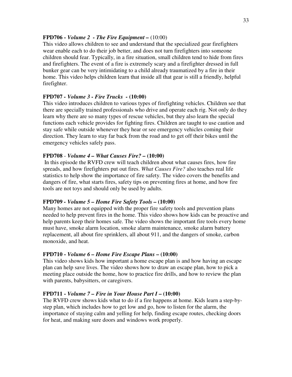#### **FPD706 -** *Volume 2 - The Fire Equipment –* (10:00)

This video allows children to see and understand that the specialized gear firefighters wear enable each to do their job better, and does not turn firefighters into someone children should fear. Typically, in a fire situation, small children tend to hide from fires and firefighters. The event of a fire is extremely scary and a firefighter dressed in full bunker gear can be very intimidating to a child already traumatized by a fire in their home. This video helps children learn that inside all that gear is still a friendly, helpful firefighter.

#### **FPD707** *- Volume 3 - Fire Trucks -* **(10:00)**

This video introduces children to various types of firefighting vehicles. Children see that there are specially trained professionals who drive and operate each rig. Not only do they learn why there are so many types of rescue vehicles, but they also learn the special functions each vehicle provides for fighting fires. Children are taught to use caution and stay safe while outside whenever they hear or see emergency vehicles coming their direction. They learn to stay far back from the road and to get off their bikes until the emergency vehicles safely pass.

#### **FPD708** - *Volume 4 – What Causes Fire? –* **(10:00)**

 In this episode the RVFD crew will teach children about what causes fires, how fire spreads, and how firefighters put out fires. *What Causes Fire?* also teaches real life statistics to help show the importance of fire safety. The video covers the benefits and dangers of fire, what starts fires, safety tips on preventing fires at home, and how fire tools are not toys and should only be used by adults.

#### **FPD709** *- Volume 5 – Home Fire Safety Tools –* **(10:00)**

Many homes are not equipped with the proper fire safety tools and prevention plans needed to help prevent fires in the home. This video shows how kids can be proactive and help parents keep their homes safe. The video shows the important fire tools every home must have, smoke alarm location, smoke alarm maintenance, smoke alarm battery replacement, all about fire sprinklers, all about 911, and the dangers of smoke, carbon monoxide, and heat.

#### **FPD710 -** *Volume 6 – Home Fire Escape Plans* **– (10:00)**

This video shows kids how important a home escape plan is and how having an escape plan can help save lives. The video shows how to draw an escape plan, how to pick a meeting place outside the home, how to practice fire drills, and how to review the plan with parents, babysitters, or caregivers.

#### **FPD711 -** *Volume 7 – Fire in Your House Part I* **– (10:00)**

The RVFD crew shows kids what to do if a fire happens at home. Kids learn a step-bystep plan, which includes how to get low and go, how to listen for the alarm, the importance of staying calm and yelling for help, finding escape routes, checking doors for heat, and making sure doors and windows work properly.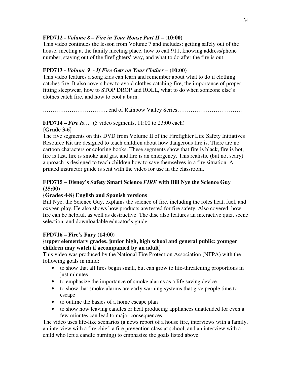## **FPD712 -** *Volume 8 – Fire in Your House Part II –* **(10:00)**

This video continues the lesson from Volume 7 and includes: getting safely out of the house, meeting at the family meeting place, how to call 911, knowing address/phone number, staying out of the firefighters' way, and what to do after the fire is out.

## **FPD713 -** *Volume 9 - If Fire Gets on Your Clothes* **– (10:00)**

This video features a song kids can learn and remember about what to do if clothing catches fire. It also covers how to avoid clothes catching fire, the importance of proper fitting sleepwear, how to STOP DROP and ROLL, what to do when someone else's clothes catch fire, and how to cool a burn.

……………………………..end of Rainbow Valley Series…………………………….

## **FPD714** – *Fire Is...* (5 video segments, 11:00 to 23:00 each) **{Grade 3-6}**

The five segments on this DVD from Volume II of the Firefighter Life Safety Initiatives Resource Kit are designed to teach children about how dangerous fire is. There are no cartoon characters or coloring books. These segments show that fire is black, fire is hot, fire is fast, fire is smoke and gas, and fire is an emergency. This realistic (but not scary) approach is designed to teach children how to save themselves in a fire situation. A printed instructor guide is sent with the video for use in the classroom.

## **FPD715 – Disney's Safety Smart Science** *FIRE* **with Bill Nye the Science Guy (25:00)**

#### **{Grades 4-8} English and Spanish versions**

Bill Nye, the Science Guy, explains the science of fire, including the roles heat, fuel, and oxygen play. He also shows how products are tested for fire safety. Also covered: how fire can be helpful, as well as destructive. The disc also features an interactive quiz, scene selection, and downloadable educator's guide.

#### **FPD716 – Fire's Fury (14:00)**

#### **{upper elementary grades, junior high, high school and general public; younger children may watch if accompanied by an adult}**

This video was produced by the National Fire Protection Association (NFPA) with the following goals in mind:

- to show that all fires begin small, but can grow to life-threatening proportions in just minutes
- to emphasize the importance of smoke alarms as a life saving device
- to show that smoke alarms are early warning systems that give people time to escape
- to outline the basics of a home escape plan
- to show how leaving candles or heat producing appliances unattended for even a few minutes can lead to major consequences

The video uses life-like scenarios (a news report of a house fire, interviews with a family, an interview with a fire chief, a fire prevention class at school, and an interview with a child who left a candle burning) to emphasize the goals listed above.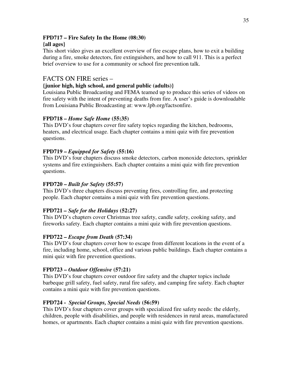## **FPD717 – Fire Safety In the Home (08:30)**

## **{all ages}**

This short video gives an excellent overview of fire escape plans, how to exit a building during a fire, smoke detectors, fire extinguishers, and how to call 911. This is a perfect brief overview to use for a community or school fire prevention talk.

## FACTS ON FIRE series –

## **{junior high, high school, and general public (adults)}**

Louisiana Public Broadcasting and FEMA teamed up to produce this series of videos on fire safety with the intent of preventing deaths from fire. A user's guide is downloadable from Louisiana Public Broadcasting at: www.lpb.org/factsonfire.

## **FPD718 –** *Home Safe Home* **(55:35)**

This DVD's four chapters cover fire safety topics regarding the kitchen, bedrooms, heaters, and electrical usage. Each chapter contains a mini quiz with fire prevention questions.

## **FPD719 –** *Equipped for Safety* **(55:16)**

This DVD's four chapters discuss smoke detectors, carbon monoxide detectors, sprinkler systems and fire extinguishers. Each chapter contains a mini quiz with fire prevention questions.

## **FPD720 –** *Built for Safety* **(55:57)**

This DVD's three chapters discuss preventing fires, controlling fire, and protecting people. Each chapter contains a mini quiz with fire prevention questions.

## **FPD721** *– Safe for the Holidays* **(52:27)**

This DVD's chapters cover Christmas tree safety, candle safety, cooking safety, and fireworks safety. Each chapter contains a mini quiz with fire prevention questions.

## **FPD722 –** *Escape from Death* **(57:34)**

This DVD's four chapters cover how to escape from different locations in the event of a fire, including home, school, office and various public buildings. Each chapter contains a mini quiz with fire prevention questions.

## **FPD723 –** *Outdoor Offensive* **(57:21)**

This DVD's four chapters cover outdoor fire safety and the chapter topics include barbeque grill safety, fuel safety, rural fire safety, and camping fire safety. Each chapter contains a mini quiz with fire prevention questions.

## **FPD724 -** *Special Groups, Special Needs* **(56:59)**

This DVD's four chapters cover groups with specialized fire safety needs: the elderly, children, people with disabilities, and people with residences in rural areas, manufactured homes, or apartments. Each chapter contains a mini quiz with fire prevention questions.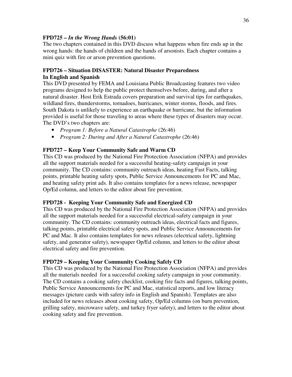## **FPD725 –** *In the Wrong Hands* **(56:01)**

The two chapters contained in this DVD discuss what happens when fire ends up in the wrong hands: the hands of children and the hands of arsonists. Each chapter contains a mini quiz with fire or arson prevention questions.

#### **FPD726 – Situation DISASTER: Natural Disaster Preparedness In English and Spanish**

This DVD presented by FEMA and Louisiana Public Broadcasting features two video programs designed to help the public protect themselves before, during, and after a natural disaster. Host Erik Estrada covers preparation and survival tips for earthquakes, wildland fires, thunderstorms, tornadoes, hurricanes, winter storms, floods, and fires. South Dakota is unlikely to experience an earthquake or hurricane, but the information provided is useful for those traveling to areas where these types of disasters may occur. The DVD's two chapters are:

- *Program 1: Before a Natural Catastrophe* (26:46)
- *Program 2: During and After a Natural Catastrophe* (26:46)

## **FPD727 – Keep Your Community Safe and Warm CD**

This CD was produced by the National Fire Protection Association (NFPA) and provides all the support materials needed for a successful heating-safety campaign in your community. The CD contains: community outreach ideas, heating Fast Facts, talking points, printable heating safety spots, Public Service Announcements for PC and Mac, and heating safety print ads. It also contains templates for a news release, newspaper Op/Ed column, and letters to the editor about fire prevention.

## **FPD728 - Keeping Your Community Safe and Energized CD**

This CD was produced by the National Fire Protection Association (NFPA) and provides all the support materials needed for a successful electrical-safety campaign in your community. The CD contains: community outreach ideas, electrical facts and figures, talking points, printable electrical safety spots, and Public Service Announcements for PC and Mac. It also contains templates for news releases (electrical safety, lightning safety, and generator safety), newspaper Op/Ed column, and letters to the editor about electrical safety and fire prevention.

## **FPD729 – Keeping Your Community Cooking Safely CD**

This CD was produced by the National Fire Protection Association (NFPA) and provides all the materials needed for a successful cooking safety campaign in your community. The CD contains a cooking safety checklist, cooking fire facts and figures, talking points, Public Service Announcements for PC and Mac, statistical reports, and low literacy messages (picture cards with safety info in English and Spanish). Templates are also included for news releases about cooking safety, Op/Ed columns (on burn prevention, grilling safety, microwave safety, and turkey fryer safety), and letters to the editor about cooking safety and fire prevention.